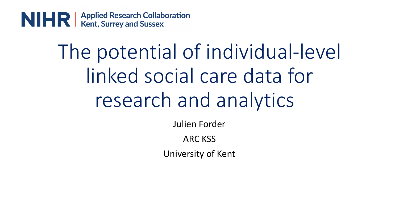

# The potential of individual-level linked social care data for research and analytics

Julien Forder

ARC KSS

University of Kent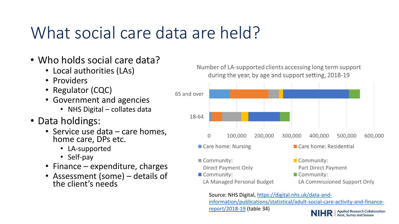#### What social care data are held?

- Who holds social care data?
	- Local authorities (LAs)
	- Providers
	- Regulator (CQC)
	- Government and agencies
		- NHS Digital collates data
- Data holdings:
	- Service use data care homes, home care, DPs etc.
		- LA-supported
		- Self-pay
	- Finance expenditure, charges
	- Assessment (some) details of the client's needs

Number of LA-supported clients accessing long term support during the year, by age and support setting, 2018-19



LA Managed Personal Budget LA Commissioned Support Only

Source: NHS Digital, https://digital.nhs.uk/data-and[information/publications/statistical/adult-social-care-activity-and-finance](https://digital.nhs.uk/data-and-information/publications/statistical/adult-social-care-activity-and-finance-report/2018-19)report/2018-19 (table 34)

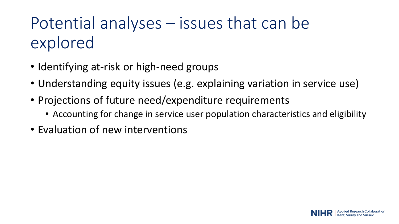### Potential analyses – issues that can be explored

- Identifying at-risk or high-need groups
- Understanding equity issues (e.g. explaining variation in service use)
- Projections of future need/expenditure requirements
	- Accounting for change in service user population characteristics and eligibility
- Evaluation of new interventions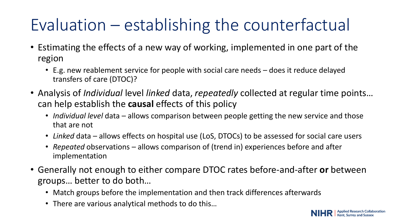## Evaluation – establishing the counterfactual

- Estimating the effects of a new way of working, implemented in one part of the region
	- E.g. new reablement service for people with social care needs does it reduce delayed transfers of care (DTOC)?
- Analysis of *Individual* level *linked* data, *repeatedly* collected at regular time points… can help establish the **causal** effects of this policy
	- *Individual level* data allows comparison between people getting the new service and those that are not
	- *Linked* data allows effects on hospital use (LoS, DTOCs) to be assessed for social care users
	- *Repeated* observations allows comparison of (trend in) experiences before and after implementation
- Generally not enough to either compare DTOC rates before-and-after **or** between groups… better to do both…
	- Match groups before the implementation and then track differences afterwards
	- There are various analytical methods to do this…

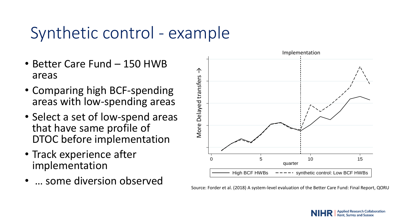#### Synthetic control - example

- Better Care Fund 150 HWB areas
- Comparing high BCF-spending areas with low-spending areas
- ig<br>M<br>il • Select a set of low-spend areas that have same profile of DTOC before implementation
- Track experience after implementation
- … some diversion observed



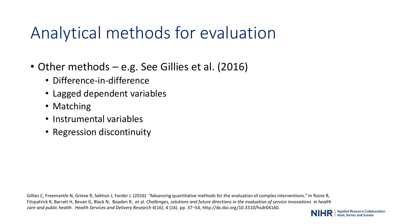#### Analytical methods for evaluation

- Other methods e.g. See Gillies et al. (2016)
	- Difference-in-difference
	- Lagged dependent variables
	- Matching
	- Instrumental variables
	- Regression discontinuity

Gillies C, Freemantle N, Grieve R, Sekhon J, Forder J. (2016) "Advancing quantitative methods for the evaluation of complex interventions." In Raine R, Fitzpatrick R, Barratt H, Bevan G, Black N, Boaden R, et al. *Challenges, solutions and future directions in the evaluation of service innovations in health care and public health*. *Health Services and Delivery Research* 4(16); 4 (16). pp. 37–54, http://dx.doi.org/10.3310/hsdr04160.

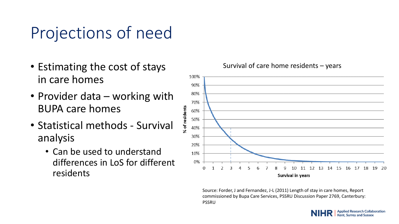#### Projections of need

- Estimating the cost of stays in care homes
- Provider data working with BUPA care homes
- Statistical methods Survival analysis
	- Can be used to understand differences in LoS for different residents



Source: Forder, J and Fernandez, J-L (2011) Length of stay in care homes, Report commissioned by Bupa Care Services, PSSRU Discussion Paper 2769, Canterbury: PSSRU

#### Survival of care home residents – years

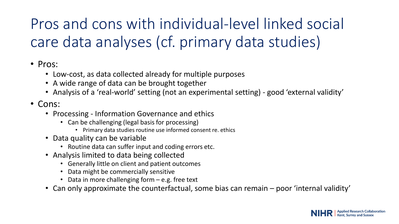#### Pros and cons with individual-level linked social care data analyses (cf. primary data studies)

#### • Pros:

- Low-cost, as data collected already for multiple purposes
- A wide range of data can be brought together
- Analysis of a 'real-world' setting (not an experimental setting) good 'external validity'
- Cons:
	- Processing Information Governance and ethics
		- Can be challenging (legal basis for processing)
			- Primary data studies routine use informed consent re. ethics
	- Data quality can be variable
		- Routine data can suffer input and coding errors etc.
	- Analysis limited to data being collected
		- Generally little on client and patient outcomes
		- Data might be commercially sensitive
		- Data in more challenging form e.g. free text
	- Can only approximate the counterfactual, some bias can remain poor 'internal validity'